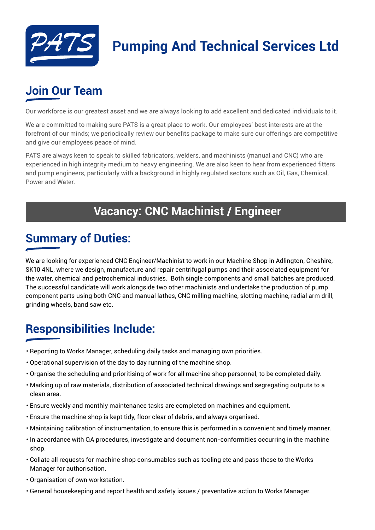

# **Pumping And Technical Services Ltd**

## **Join Our Team**

Our workforce is our greatest asset and we are always looking to add excellent and dedicated individuals to it.

We are committed to making sure PATS is a great place to work. Our employees' best interests are at the forefront of our minds; we periodically review our benefits package to make sure our offerings are competitive and give our employees peace of mind.

PATS are always keen to speak to skilled fabricators, welders, and machinists (manual and CNC) who are experienced in high integrity medium to heavy engineering. We are also keen to hear from experienced fitters and pump engineers, particularly with a background in highly regulated sectors such as Oil, Gas, Chemical, Power and Water.

#### **Vacancy: CNC Machinist / Engineer**

#### **Summary of Duties:**

We are looking for experienced CNC Engineer/Machinist to work in our Machine Shop in Adlington, Cheshire, SK10 4NL, where we design, manufacture and repair centrifugal pumps and their associated equipment for the water, chemical and petrochemical industries. Both single components and small batches are produced. The successful candidate will work alongside two other machinists and undertake the production of pump component parts using both CNC and manual lathes, CNC milling machine, slotting machine, radial arm drill, grinding wheels, band saw etc.

## **Responsibilities Include:**

- Reporting to Works Manager, scheduling daily tasks and managing own priorities.
- Operational supervision of the day to day running of the machine shop.
- Organise the scheduling and prioritising of work for all machine shop personnel, to be completed daily.
- Marking up of raw materials, distribution of associated technical drawings and segregating outputs to a clean area.
- Ensure weekly and monthly maintenance tasks are completed on machines and equipment.
- Ensure the machine shop is kept tidy, floor clear of debris, and always organised.
- Maintaining calibration of instrumentation, to ensure this is performed in a convenient and timely manner.
- In accordance with QA procedures, investigate and document non-conformities occurring in the machine shop.
- Collate all requests for machine shop consumables such as tooling etc and pass these to the Works Manager for authorisation.
- Organisation of own workstation.
- General housekeeping and report health and safety issues / preventative action to Works Manager.